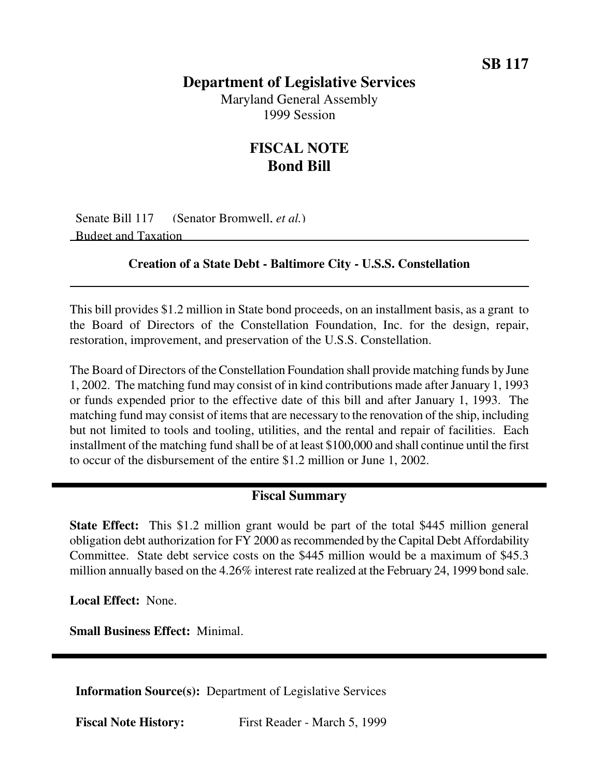## **Department of Legislative Services** Maryland General Assembly 1999 Session

## **FISCAL NOTE Bond Bill**

Senate Bill 117 (Senator Bromwell, *et al.*) Budget and Taxation

## **Creation of a State Debt - Baltimore City - U.S.S. Constellation**

This bill provides \$1.2 million in State bond proceeds, on an installment basis, as a grant to the Board of Directors of the Constellation Foundation, Inc. for the design, repair, restoration, improvement, and preservation of the U.S.S. Constellation.

The Board of Directors of the Constellation Foundation shall provide matching funds by June 1, 2002. The matching fund may consist of in kind contributions made after January 1, 1993 or funds expended prior to the effective date of this bill and after January 1, 1993. The matching fund may consist of items that are necessary to the renovation of the ship, including but not limited to tools and tooling, utilities, and the rental and repair of facilities. Each installment of the matching fund shall be of at least \$100,000 and shall continue until the first to occur of the disbursement of the entire \$1.2 million or June 1, 2002.

## **Fiscal Summary**

**State Effect:** This \$1.2 million grant would be part of the total \$445 million general obligation debt authorization for FY 2000 asrecommended by the Capital Debt Affordability Committee. State debt service costs on the \$445 million would be a maximum of \$45.3 million annually based on the 4.26% interest rate realized at the February 24, 1999 bond sale.

**Local Effect:** None.

**Small Business Effect:** Minimal.

**Information Source(s):** Department of Legislative Services